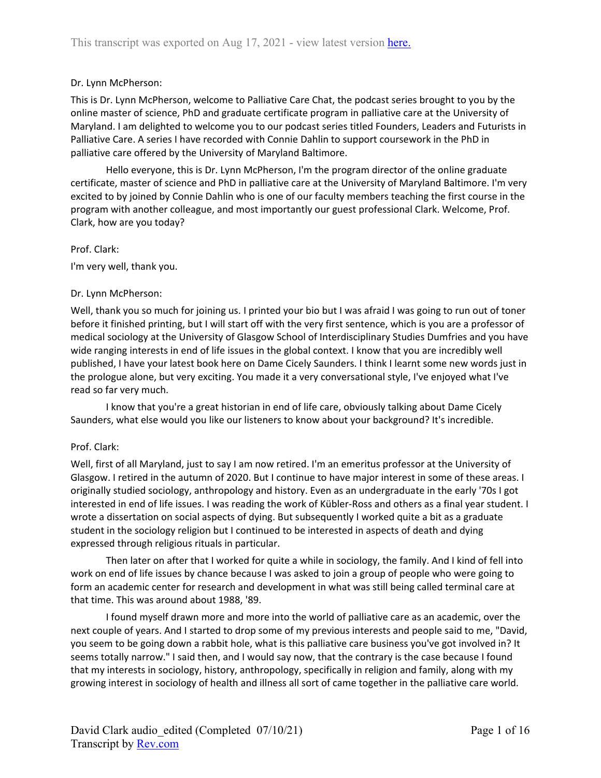### Dr. Lynn McPherson:

This is Dr. Lynn McPherson, welcome to Palliative Care Chat, the podcast series brought to you by the online master of science, PhD and graduate certificate program in palliative care at the University of Maryland. I am delighted to welcome you to our podcast series titled Founders, Leaders and Futurists in Palliative Care. A series I have recorded with Connie Dahlin to support coursework in the PhD in palliative care offered by the University of Maryland Baltimore.

Hello everyone, this is Dr. Lynn McPherson, I'm the program director of the online graduate certificate, master of science and PhD in palliative care at the University of Maryland Baltimore. I'm very excited to by joined by Connie Dahlin who is one of our faculty members teaching the first course in the program with another colleague, and most importantly our guest professional Clark. Welcome, Prof. Clark, how are you today?

#### Prof. Clark:

I'm very well, thank you.

#### Dr. Lynn McPherson:

Well, thank you so much for joining us. I printed your bio but I was afraid I was going to run out of toner before it finished printing, but I will start off with the very first sentence, which is you are a professor of medical sociology at the University of Glasgow School of Interdisciplinary Studies Dumfries and you have wide ranging interests in end of life issues in the global context. I know that you are incredibly well published, I have your latest book here on Dame Cicely Saunders. I think I learnt some new words just in the prologue alone, but very exciting. You made it a very conversational style, I've enjoyed what I've read so far very much.

I know that you're a great historian in end of life care, obviously talking about Dame Cicely Saunders, what else would you like our listeners to know about your background? It's incredible.

### Prof. Clark:

Well, first of all Maryland, just to say I am now retired. I'm an emeritus professor at the University of Glasgow. I retired in the autumn of 2020. But I continue to have major interest in some of these areas. I originally studied sociology, anthropology and history. Even as an undergraduate in the early '70s I got interested in end of life issues. I was reading the work of Kübler-Ross and others as a final year student. I wrote a dissertation on social aspects of dying. But subsequently I worked quite a bit as a graduate student in the sociology religion but I continued to be interested in aspects of death and dying expressed through religious rituals in particular.

Then later on after that I worked for quite a while in sociology, the family. And I kind of fell into work on end of life issues by chance because I was asked to join a group of people who were going to form an academic center for research and development in what was still being called terminal care at that time. This was around about 1988, '89.

I found myself drawn more and more into the world of palliative care as an academic, over the next couple of years. And I started to drop some of my previous interests and people said to me, "David, you seem to be going down a rabbit hole, what is this palliative care business you've got involved in? It seems totally narrow." I said then, and I would say now, that the contrary is the case because I found that my interests in sociology, history, anthropology, specifically in religion and family, along with my growing interest in sociology of health and illness all sort of came together in the palliative care world.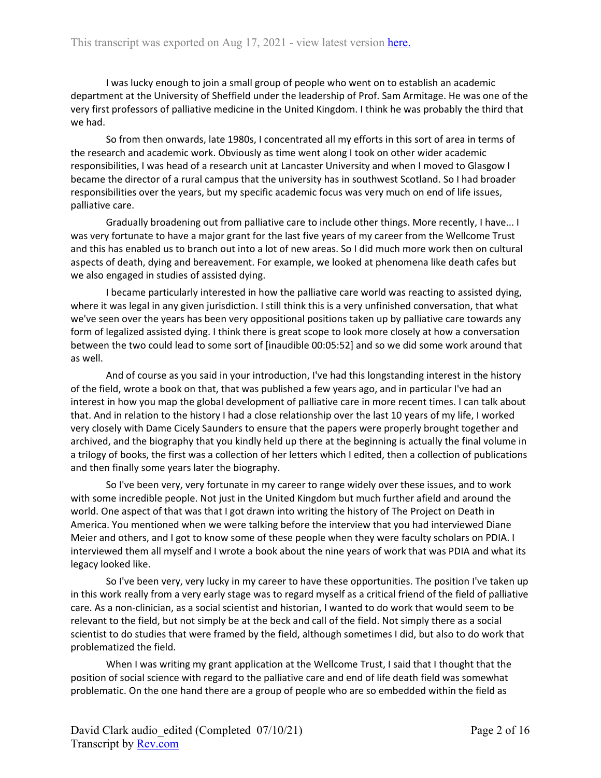I was lucky enough to join a small group of people who went on to establish an academic department at the University of Sheffield under the leadership of Prof. Sam Armitage. He was one of the very first professors of palliative medicine in the United Kingdom. I think he was probably the third that we had.

So from then onwards, late 1980s, I concentrated all my efforts in this sort of area in terms of the research and academic work. Obviously as time went along I took on other wider academic responsibilities, I was head of a research unit at Lancaster University and when I moved to Glasgow I became the director of a rural campus that the university has in southwest Scotland. So I had broader responsibilities over the years, but my specific academic focus was very much on end of life issues, palliative care.

Gradually broadening out from palliative care to include other things. More recently, I have... I was very fortunate to have a major grant for the last five years of my career from the Wellcome Trust and this has enabled us to branch out into a lot of new areas. So I did much more work then on cultural aspects of death, dying and bereavement. For example, we looked at phenomena like death cafes but we also engaged in studies of assisted dying.

I became particularly interested in how the palliative care world was reacting to assisted dying, where it was legal in any given jurisdiction. I still think this is a very unfinished conversation, that what we've seen over the years has been very oppositional positions taken up by palliative care towards any form of legalized assisted dying. I think there is great scope to look more closely at how a conversation between the two could lead to some sort of [inaudible 00:05:52] and so we did some work around that as well.

And of course as you said in your introduction, I've had this longstanding interest in the history of the field, wrote a book on that, that was published a few years ago, and in particular I've had an interest in how you map the global development of palliative care in more recent times. I can talk about that. And in relation to the history I had a close relationship over the last 10 years of my life, I worked very closely with Dame Cicely Saunders to ensure that the papers were properly brought together and archived, and the biography that you kindly held up there at the beginning is actually the final volume in a trilogy of books, the first was a collection of her letters which I edited, then a collection of publications and then finally some years later the biography.

So I've been very, very fortunate in my career to range widely over these issues, and to work with some incredible people. Not just in the United Kingdom but much further afield and around the world. One aspect of that was that I got drawn into writing the history of The Project on Death in America. You mentioned when we were talking before the interview that you had interviewed Diane Meier and others, and I got to know some of these people when they were faculty scholars on PDIA. I interviewed them all myself and I wrote a book about the nine years of work that was PDIA and what its legacy looked like.

So I've been very, very lucky in my career to have these opportunities. The position I've taken up in this work really from a very early stage was to regard myself as a critical friend of the field of palliative care. As a non-clinician, as a social scientist and historian, I wanted to do work that would seem to be relevant to the field, but not simply be at the beck and call of the field. Not simply there as a social scientist to do studies that were framed by the field, although sometimes I did, but also to do work that problematized the field.

When I was writing my grant application at the Wellcome Trust, I said that I thought that the position of social science with regard to the palliative care and end of life death field was somewhat problematic. On the one hand there are a group of people who are so embedded within the field as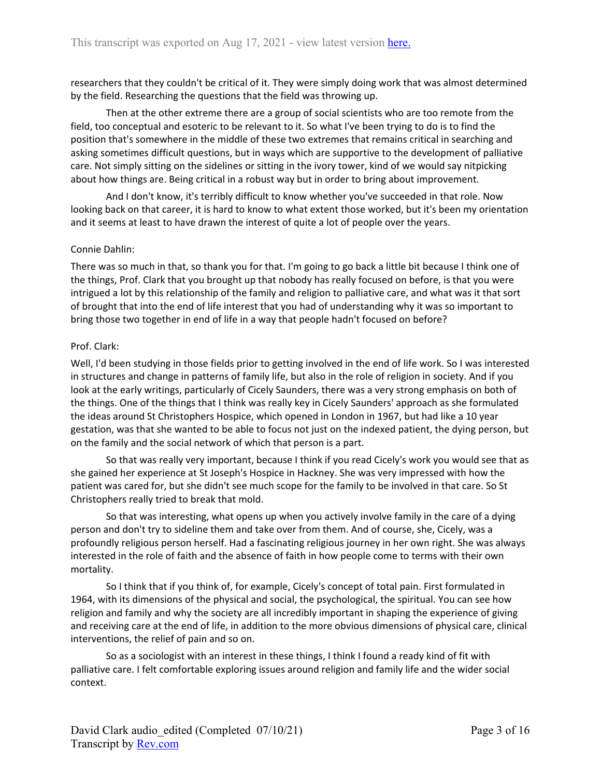researchers that they couldn't be critical of it. They were simply doing work that was almost determined by the field. Researching the questions that the field was throwing up.

Then at the other extreme there are a group of social scientists who are too remote from the field, too conceptual and esoteric to be relevant to it. So what I've been trying to do is to find the position that's somewhere in the middle of these two extremes that remains critical in searching and asking sometimes difficult questions, but in ways which are supportive to the development of palliative care. Not simply sitting on the sidelines or sitting in the ivory tower, kind of we would say nitpicking about how things are. Being critical in a robust way but in order to bring about improvement.

And I don't know, it's terribly difficult to know whether you've succeeded in that role. Now looking back on that career, it is hard to know to what extent those worked, but it's been my orientation and it seems at least to have drawn the interest of quite a lot of people over the years.

# Connie Dahlin:

There was so much in that, so thank you for that. I'm going to go back a little bit because I think one of the things, Prof. Clark that you brought up that nobody has really focused on before, is that you were intrigued a lot by this relationship of the family and religion to palliative care, and what was it that sort of brought that into the end of life interest that you had of understanding why it was so important to bring those two together in end of life in a way that people hadn't focused on before?

# Prof. Clark:

Well, I'd been studying in those fields prior to getting involved in the end of life work. So I was interested in structures and change in patterns of family life, but also in the role of religion in society. And if you look at the early writings, particularly of Cicely Saunders, there was a very strong emphasis on both of the things. One of the things that I think was really key in Cicely Saunders' approach as she formulated the ideas around St Christophers Hospice, which opened in London in 1967, but had like a 10 year gestation, was that she wanted to be able to focus not just on the indexed patient, the dying person, but on the family and the social network of which that person is a part.

So that was really very important, because I think if you read Cicely's work you would see that as she gained her experience at St Joseph's Hospice in Hackney. She was very impressed with how the patient was cared for, but she didn't see much scope for the family to be involved in that care. So St Christophers really tried to break that mold.

So that was interesting, what opens up when you actively involve family in the care of a dying person and don't try to sideline them and take over from them. And of course, she, Cicely, was a profoundly religious person herself. Had a fascinating religious journey in her own right. She was always interested in the role of faith and the absence of faith in how people come to terms with their own mortality.

So I think that if you think of, for example, Cicely's concept of total pain. First formulated in 1964, with its dimensions of the physical and social, the psychological, the spiritual. You can see how religion and family and why the society are all incredibly important in shaping the experience of giving and receiving care at the end of life, in addition to the more obvious dimensions of physical care, clinical interventions, the relief of pain and so on.

So as a sociologist with an interest in these things, I think I found a ready kind of fit with palliative care. I felt comfortable exploring issues around religion and family life and the wider social context.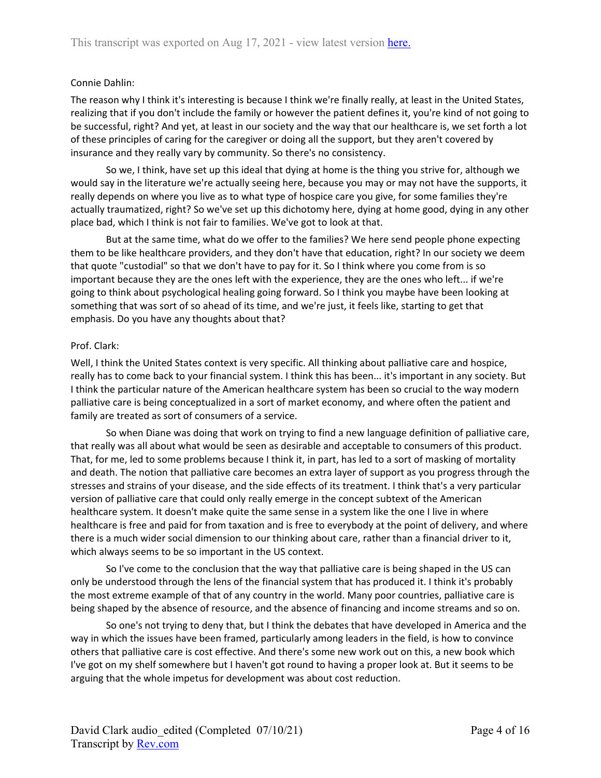# Connie Dahlin:

The reason why I think it's interesting is because I think we're finally really, at least in the United States, realizing that if you don't include the family or however the patient defines it, you're kind of not going to be successful, right? And yet, at least in our society and the way that our healthcare is, we set forth a lot of these principles of caring for the caregiver or doing all the support, but they aren't covered by insurance and they really vary by community. So there's no consistency.

So we, I think, have set up this ideal that dying at home is the thing you strive for, although we would say in the literature we're actually seeing here, because you may or may not have the supports, it really depends on where you live as to what type of hospice care you give, for some families they're actually traumatized, right? So we've set up this dichotomy here, dying at home good, dying in any other place bad, which I think is not fair to families. We've got to look at that.

But at the same time, what do we offer to the families? We here send people phone expecting them to be like healthcare providers, and they don't have that education, right? In our society we deem that quote "custodial" so that we don't have to pay for it. So I think where you come from is so important because they are the ones left with the experience, they are the ones who left... if we're going to think about psychological healing going forward. So I think you maybe have been looking at something that was sort of so ahead of its time, and we're just, it feels like, starting to get that emphasis. Do you have any thoughts about that?

# Prof. Clark:

Well, I think the United States context is very specific. All thinking about palliative care and hospice, really has to come back to your financial system. I think this has been... it's important in any society. But I think the particular nature of the American healthcare system has been so crucial to the way modern palliative care is being conceptualized in a sort of market economy, and where often the patient and family are treated as sort of consumers of a service.

So when Diane was doing that work on trying to find a new language definition of palliative care, that really was all about what would be seen as desirable and acceptable to consumers of this product. That, for me, led to some problems because I think it, in part, has led to a sort of masking of mortality and death. The notion that palliative care becomes an extra layer of support as you progress through the stresses and strains of your disease, and the side effects of its treatment. I think that's a very particular version of palliative care that could only really emerge in the concept subtext of the American healthcare system. It doesn't make quite the same sense in a system like the one I live in where healthcare is free and paid for from taxation and is free to everybody at the point of delivery, and where there is a much wider social dimension to our thinking about care, rather than a financial driver to it, which always seems to be so important in the US context.

So I've come to the conclusion that the way that palliative care is being shaped in the US can only be understood through the lens of the financial system that has produced it. I think it's probably the most extreme example of that of any country in the world. Many poor countries, palliative care is being shaped by the absence of resource, and the absence of financing and income streams and so on.

So one's not trying to deny that, but I think the debates that have developed in America and the way in which the issues have been framed, particularly among leaders in the field, is how to convince others that palliative care is cost effective. And there's some new work out on this, a new book which I've got on my shelf somewhere but I haven't got round to having a proper look at. But it seems to be arguing that the whole impetus for development was about cost reduction.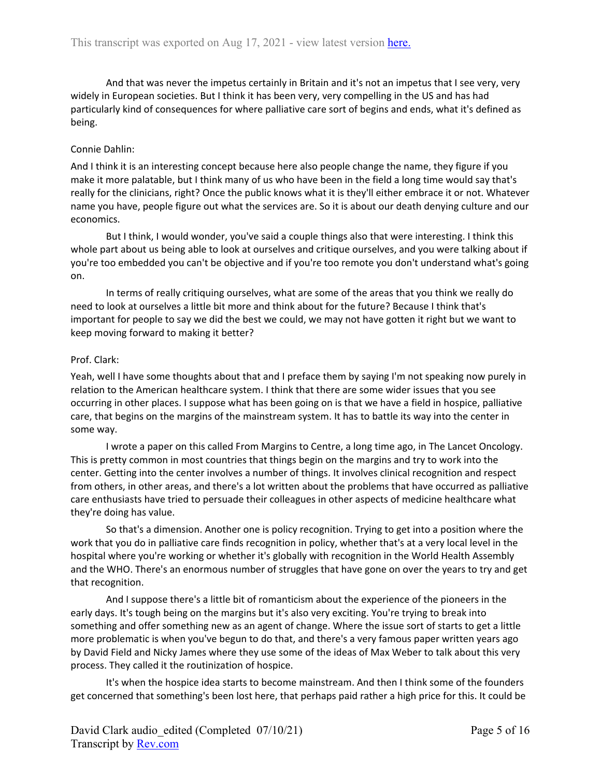And that was never the impetus certainly in Britain and it's not an impetus that I see very, very widely in European societies. But I think it has been very, very compelling in the US and has had particularly kind of consequences for where palliative care sort of begins and ends, what it's defined as being.

# Connie Dahlin:

And I think it is an interesting concept because here also people change the name, they figure if you make it more palatable, but I think many of us who have been in the field a long time would say that's really for the clinicians, right? Once the public knows what it is they'll either embrace it or not. Whatever name you have, people figure out what the services are. So it is about our death denying culture and our economics.

But I think, I would wonder, you've said a couple things also that were interesting. I think this whole part about us being able to look at ourselves and critique ourselves, and you were talking about if you're too embedded you can't be objective and if you're too remote you don't understand what's going on.

In terms of really critiquing ourselves, what are some of the areas that you think we really do need to look at ourselves a little bit more and think about for the future? Because I think that's important for people to say we did the best we could, we may not have gotten it right but we want to keep moving forward to making it better?

# Prof. Clark:

Yeah, well I have some thoughts about that and I preface them by saying I'm not speaking now purely in relation to the American healthcare system. I think that there are some wider issues that you see occurring in other places. I suppose what has been going on is that we have a field in hospice, palliative care, that begins on the margins of the mainstream system. It has to battle its way into the center in some way.

I wrote a paper on this called From Margins to Centre, a long time ago, in The Lancet Oncology. This is pretty common in most countries that things begin on the margins and try to work into the center. Getting into the center involves a number of things. It involves clinical recognition and respect from others, in other areas, and there's a lot written about the problems that have occurred as palliative care enthusiasts have tried to persuade their colleagues in other aspects of medicine healthcare what they're doing has value.

So that's a dimension. Another one is policy recognition. Trying to get into a position where the work that you do in palliative care finds recognition in policy, whether that's at a very local level in the hospital where you're working or whether it's globally with recognition in the World Health Assembly and the WHO. There's an enormous number of struggles that have gone on over the years to try and get that recognition.

And I suppose there's a little bit of romanticism about the experience of the pioneers in the early days. It's tough being on the margins but it's also very exciting. You're trying to break into something and offer something new as an agent of change. Where the issue sort of starts to get a little more problematic is when you've begun to do that, and there's a very famous paper written years ago by David Field and Nicky James where they use some of the ideas of Max Weber to talk about this very process. They called it the routinization of hospice.

It's when the hospice idea starts to become mainstream. And then I think some of the founders get concerned that something's been lost here, that perhaps paid rather a high price for this. It could be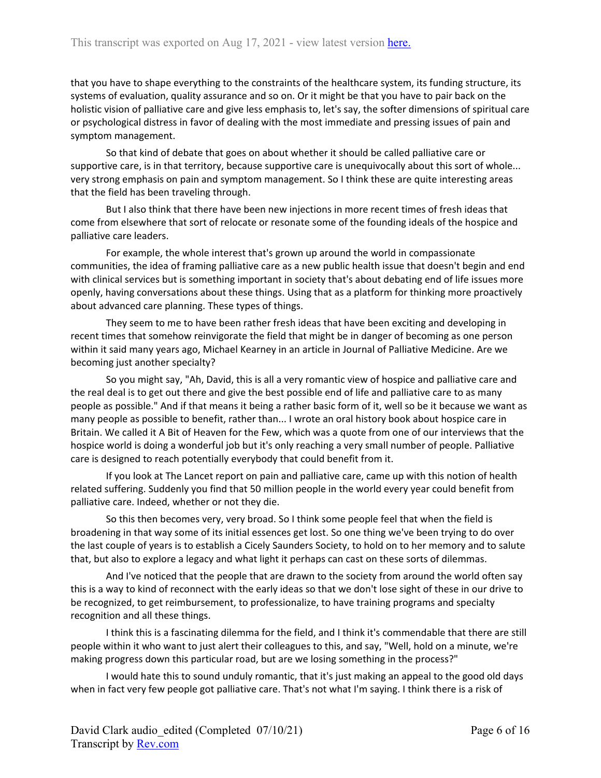that you have to shape everything to the constraints of the healthcare system, its funding structure, its systems of evaluation, quality assurance and so on. Or it might be that you have to pair back on the holistic vision of palliative care and give less emphasis to, let's say, the softer dimensions of spiritual care or psychological distress in favor of dealing with the most immediate and pressing issues of pain and symptom management.

So that kind of debate that goes on about whether it should be called palliative care or supportive care, is in that territory, because supportive care is unequivocally about this sort of whole... very strong emphasis on pain and symptom management. So I think these are quite interesting areas that the field has been traveling through.

But I also think that there have been new injections in more recent times of fresh ideas that come from elsewhere that sort of relocate or resonate some of the founding ideals of the hospice and palliative care leaders.

For example, the whole interest that's grown up around the world in compassionate communities, the idea of framing palliative care as a new public health issue that doesn't begin and end with clinical services but is something important in society that's about debating end of life issues more openly, having conversations about these things. Using that as a platform for thinking more proactively about advanced care planning. These types of things.

They seem to me to have been rather fresh ideas that have been exciting and developing in recent times that somehow reinvigorate the field that might be in danger of becoming as one person within it said many years ago, Michael Kearney in an article in Journal of Palliative Medicine. Are we becoming just another specialty?

So you might say, "Ah, David, this is all a very romantic view of hospice and palliative care and the real deal is to get out there and give the best possible end of life and palliative care to as many people as possible." And if that means it being a rather basic form of it, well so be it because we want as many people as possible to benefit, rather than... I wrote an oral history book about hospice care in Britain. We called it A Bit of Heaven for the Few, which was a quote from one of our interviews that the hospice world is doing a wonderful job but it's only reaching a very small number of people. Palliative care is designed to reach potentially everybody that could benefit from it.

If you look at The Lancet report on pain and palliative care, came up with this notion of health related suffering. Suddenly you find that 50 million people in the world every year could benefit from palliative care. Indeed, whether or not they die.

So this then becomes very, very broad. So I think some people feel that when the field is broadening in that way some of its initial essences get lost. So one thing we've been trying to do over the last couple of years is to establish a Cicely Saunders Society, to hold on to her memory and to salute that, but also to explore a legacy and what light it perhaps can cast on these sorts of dilemmas.

And I've noticed that the people that are drawn to the society from around the world often say this is a way to kind of reconnect with the early ideas so that we don't lose sight of these in our drive to be recognized, to get reimbursement, to professionalize, to have training programs and specialty recognition and all these things.

I think this is a fascinating dilemma for the field, and I think it's commendable that there are still people within it who want to just alert their colleagues to this, and say, "Well, hold on a minute, we're making progress down this particular road, but are we losing something in the process?"

I would hate this to sound unduly romantic, that it's just making an appeal to the good old days when in fact very few people got palliative care. That's not what I'm saying. I think there is a risk of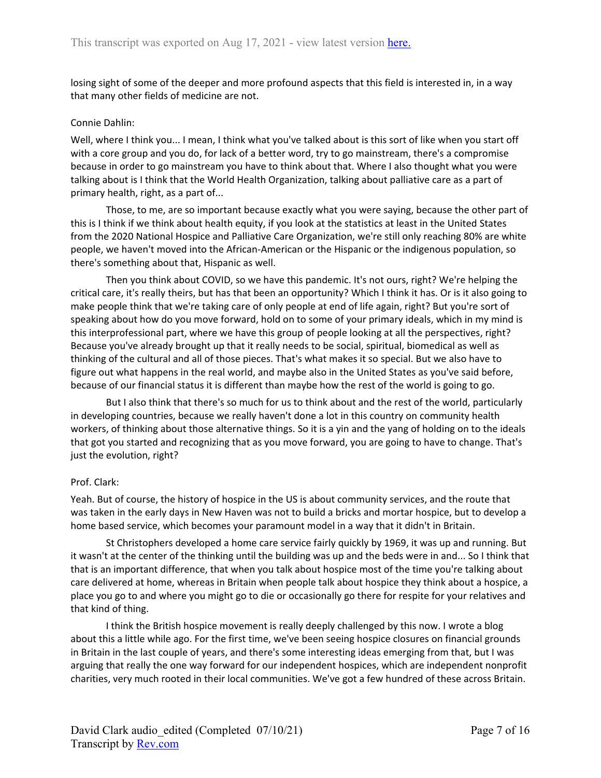losing sight of some of the deeper and more profound aspects that this field is interested in, in a way that many other fields of medicine are not.

### Connie Dahlin:

Well, where I think you... I mean, I think what you've talked about is this sort of like when you start off with a core group and you do, for lack of a better word, try to go mainstream, there's a compromise because in order to go mainstream you have to think about that. Where I also thought what you were talking about is I think that the World Health Organization, talking about palliative care as a part of primary health, right, as a part of...

Those, to me, are so important because exactly what you were saying, because the other part of this is I think if we think about health equity, if you look at the statistics at least in the United States from the 2020 National Hospice and Palliative Care Organization, we're still only reaching 80% are white people, we haven't moved into the African-American or the Hispanic or the indigenous population, so there's something about that, Hispanic as well.

Then you think about COVID, so we have this pandemic. It's not ours, right? We're helping the critical care, it's really theirs, but has that been an opportunity? Which I think it has. Or is it also going to make people think that we're taking care of only people at end of life again, right? But you're sort of speaking about how do you move forward, hold on to some of your primary ideals, which in my mind is this interprofessional part, where we have this group of people looking at all the perspectives, right? Because you've already brought up that it really needs to be social, spiritual, biomedical as well as thinking of the cultural and all of those pieces. That's what makes it so special. But we also have to figure out what happens in the real world, and maybe also in the United States as you've said before, because of our financial status it is different than maybe how the rest of the world is going to go.

But I also think that there's so much for us to think about and the rest of the world, particularly in developing countries, because we really haven't done a lot in this country on community health workers, of thinking about those alternative things. So it is a yin and the yang of holding on to the ideals that got you started and recognizing that as you move forward, you are going to have to change. That's just the evolution, right?

# Prof. Clark:

Yeah. But of course, the history of hospice in the US is about community services, and the route that was taken in the early days in New Haven was not to build a bricks and mortar hospice, but to develop a home based service, which becomes your paramount model in a way that it didn't in Britain.

St Christophers developed a home care service fairly quickly by 1969, it was up and running. But it wasn't at the center of the thinking until the building was up and the beds were in and... So I think that that is an important difference, that when you talk about hospice most of the time you're talking about care delivered at home, whereas in Britain when people talk about hospice they think about a hospice, a place you go to and where you might go to die or occasionally go there for respite for your relatives and that kind of thing.

I think the British hospice movement is really deeply challenged by this now. I wrote a blog about this a little while ago. For the first time, we've been seeing hospice closures on financial grounds in Britain in the last couple of years, and there's some interesting ideas emerging from that, but I was arguing that really the one way forward for our independent hospices, which are independent nonprofit charities, very much rooted in their local communities. We've got a few hundred of these across Britain.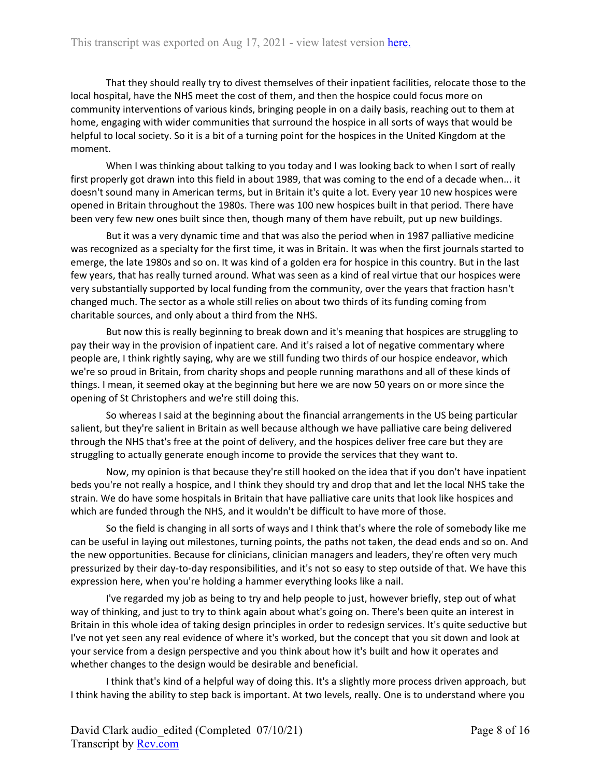That they should really try to divest themselves of their inpatient facilities, relocate those to the local hospital, have the NHS meet the cost of them, and then the hospice could focus more on community interventions of various kinds, bringing people in on a daily basis, reaching out to them at home, engaging with wider communities that surround the hospice in all sorts of ways that would be helpful to local society. So it is a bit of a turning point for the hospices in the United Kingdom at the moment.

When I was thinking about talking to you today and I was looking back to when I sort of really first properly got drawn into this field in about 1989, that was coming to the end of a decade when... it doesn't sound many in American terms, but in Britain it's quite a lot. Every year 10 new hospices were opened in Britain throughout the 1980s. There was 100 new hospices built in that period. There have been very few new ones built since then, though many of them have rebuilt, put up new buildings.

But it was a very dynamic time and that was also the period when in 1987 palliative medicine was recognized as a specialty for the first time, it was in Britain. It was when the first journals started to emerge, the late 1980s and so on. It was kind of a golden era for hospice in this country. But in the last few years, that has really turned around. What was seen as a kind of real virtue that our hospices were very substantially supported by local funding from the community, over the years that fraction hasn't changed much. The sector as a whole still relies on about two thirds of its funding coming from charitable sources, and only about a third from the NHS.

But now this is really beginning to break down and it's meaning that hospices are struggling to pay their way in the provision of inpatient care. And it's raised a lot of negative commentary where people are, I think rightly saying, why are we still funding two thirds of our hospice endeavor, which we're so proud in Britain, from charity shops and people running marathons and all of these kinds of things. I mean, it seemed okay at the beginning but here we are now 50 years on or more since the opening of St Christophers and we're still doing this.

So whereas I said at the beginning about the financial arrangements in the US being particular salient, but they're salient in Britain as well because although we have palliative care being delivered through the NHS that's free at the point of delivery, and the hospices deliver free care but they are struggling to actually generate enough income to provide the services that they want to.

Now, my opinion is that because they're still hooked on the idea that if you don't have inpatient beds you're not really a hospice, and I think they should try and drop that and let the local NHS take the strain. We do have some hospitals in Britain that have palliative care units that look like hospices and which are funded through the NHS, and it wouldn't be difficult to have more of those.

So the field is changing in all sorts of ways and I think that's where the role of somebody like me can be useful in laying out milestones, turning points, the paths not taken, the dead ends and so on. And the new opportunities. Because for clinicians, clinician managers and leaders, they're often very much pressurized by their day-to-day responsibilities, and it's not so easy to step outside of that. We have this expression here, when you're holding a hammer everything looks like a nail.

I've regarded my job as being to try and help people to just, however briefly, step out of what way of thinking, and just to try to think again about what's going on. There's been quite an interest in Britain in this whole idea of taking design principles in order to redesign services. It's quite seductive but I've not yet seen any real evidence of where it's worked, but the concept that you sit down and look at your service from a design perspective and you think about how it's built and how it operates and whether changes to the design would be desirable and beneficial.

I think that's kind of a helpful way of doing this. It's a slightly more process driven approach, but I think having the ability to step back is important. At two levels, really. One is to understand where you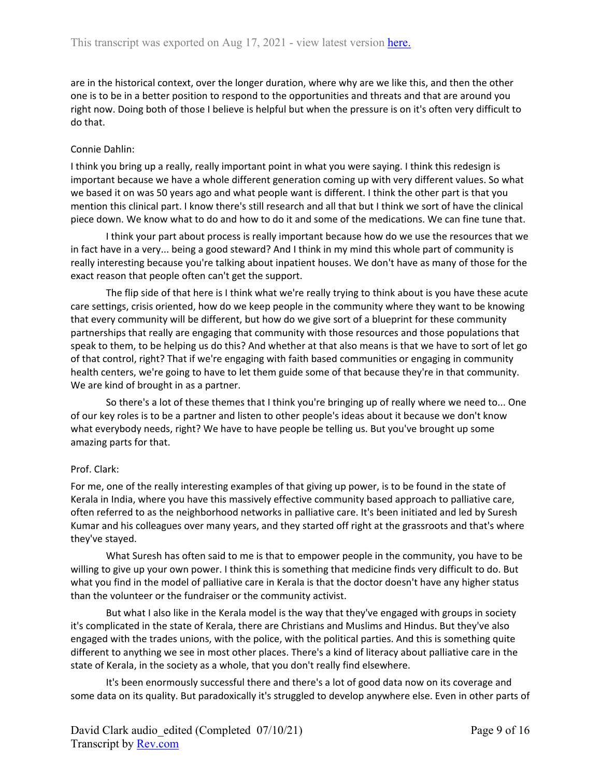are in the historical context, over the longer duration, where why are we like this, and then the other one is to be in a better position to respond to the opportunities and threats and that are around you right now. Doing both of those I believe is helpful but when the pressure is on it's often very difficult to do that.

# Connie Dahlin:

I think you bring up a really, really important point in what you were saying. I think this redesign is important because we have a whole different generation coming up with very different values. So what we based it on was 50 years ago and what people want is different. I think the other part is that you mention this clinical part. I know there's still research and all that but I think we sort of have the clinical piece down. We know what to do and how to do it and some of the medications. We can fine tune that.

I think your part about process is really important because how do we use the resources that we in fact have in a very... being a good steward? And I think in my mind this whole part of community is really interesting because you're talking about inpatient houses. We don't have as many of those for the exact reason that people often can't get the support.

The flip side of that here is I think what we're really trying to think about is you have these acute care settings, crisis oriented, how do we keep people in the community where they want to be knowing that every community will be different, but how do we give sort of a blueprint for these community partnerships that really are engaging that community with those resources and those populations that speak to them, to be helping us do this? And whether at that also means is that we have to sort of let go of that control, right? That if we're engaging with faith based communities or engaging in community health centers, we're going to have to let them guide some of that because they're in that community. We are kind of brought in as a partner.

So there's a lot of these themes that I think you're bringing up of really where we need to... One of our key roles is to be a partner and listen to other people's ideas about it because we don't know what everybody needs, right? We have to have people be telling us. But you've brought up some amazing parts for that.

# Prof. Clark:

For me, one of the really interesting examples of that giving up power, is to be found in the state of Kerala in India, where you have this massively effective community based approach to palliative care, often referred to as the neighborhood networks in palliative care. It's been initiated and led by Suresh Kumar and his colleagues over many years, and they started off right at the grassroots and that's where they've stayed.

What Suresh has often said to me is that to empower people in the community, you have to be willing to give up your own power. I think this is something that medicine finds very difficult to do. But what you find in the model of palliative care in Kerala is that the doctor doesn't have any higher status than the volunteer or the fundraiser or the community activist.

But what I also like in the Kerala model is the way that they've engaged with groups in society it's complicated in the state of Kerala, there are Christians and Muslims and Hindus. But they've also engaged with the trades unions, with the police, with the political parties. And this is something quite different to anything we see in most other places. There's a kind of literacy about palliative care in the state of Kerala, in the society as a whole, that you don't really find elsewhere.

It's been enormously successful there and there's a lot of good data now on its coverage and some data on its quality. But paradoxically it's struggled to develop anywhere else. Even in other parts of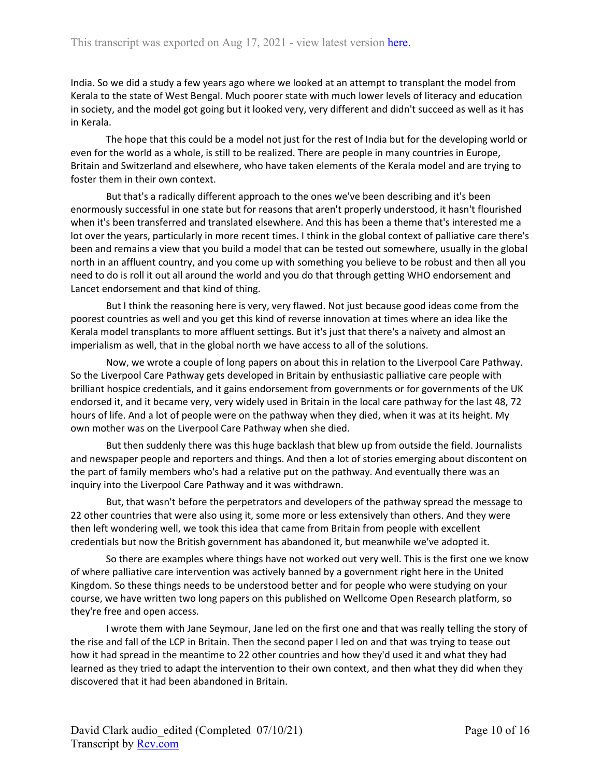India. So we did a study a few years ago where we looked at an attempt to transplant the model from Kerala to the state of West Bengal. Much poorer state with much lower levels of literacy and education in society, and the model got going but it looked very, very different and didn't succeed as well as it has in Kerala.

The hope that this could be a model not just for the rest of India but for the developing world or even for the world as a whole, is still to be realized. There are people in many countries in Europe, Britain and Switzerland and elsewhere, who have taken elements of the Kerala model and are trying to foster them in their own context.

But that's a radically different approach to the ones we've been describing and it's been enormously successful in one state but for reasons that aren't properly understood, it hasn't flourished when it's been transferred and translated elsewhere. And this has been a theme that's interested me a lot over the years, particularly in more recent times. I think in the global context of palliative care there's been and remains a view that you build a model that can be tested out somewhere, usually in the global north in an affluent country, and you come up with something you believe to be robust and then all you need to do is roll it out all around the world and you do that through getting WHO endorsement and Lancet endorsement and that kind of thing.

But I think the reasoning here is very, very flawed. Not just because good ideas come from the poorest countries as well and you get this kind of reverse innovation at times where an idea like the Kerala model transplants to more affluent settings. But it's just that there's a naivety and almost an imperialism as well, that in the global north we have access to all of the solutions.

Now, we wrote a couple of long papers on about this in relation to the Liverpool Care Pathway. So the Liverpool Care Pathway gets developed in Britain by enthusiastic palliative care people with brilliant hospice credentials, and it gains endorsement from governments or for governments of the UK endorsed it, and it became very, very widely used in Britain in the local care pathway for the last 48, 72 hours of life. And a lot of people were on the pathway when they died, when it was at its height. My own mother was on the Liverpool Care Pathway when she died.

But then suddenly there was this huge backlash that blew up from outside the field. Journalists and newspaper people and reporters and things. And then a lot of stories emerging about discontent on the part of family members who's had a relative put on the pathway. And eventually there was an inquiry into the Liverpool Care Pathway and it was withdrawn.

But, that wasn't before the perpetrators and developers of the pathway spread the message to 22 other countries that were also using it, some more or less extensively than others. And they were then left wondering well, we took this idea that came from Britain from people with excellent credentials but now the British government has abandoned it, but meanwhile we've adopted it.

So there are examples where things have not worked out very well. This is the first one we know of where palliative care intervention was actively banned by a government right here in the United Kingdom. So these things needs to be understood better and for people who were studying on your course, we have written two long papers on this published on Wellcome Open Research platform, so they're free and open access.

I wrote them with Jane Seymour, Jane led on the first one and that was really telling the story of the rise and fall of the LCP in Britain. Then the second paper I led on and that was trying to tease out how it had spread in the meantime to 22 other countries and how they'd used it and what they had learned as they tried to adapt the intervention to their own context, and then what they did when they discovered that it had been abandoned in Britain.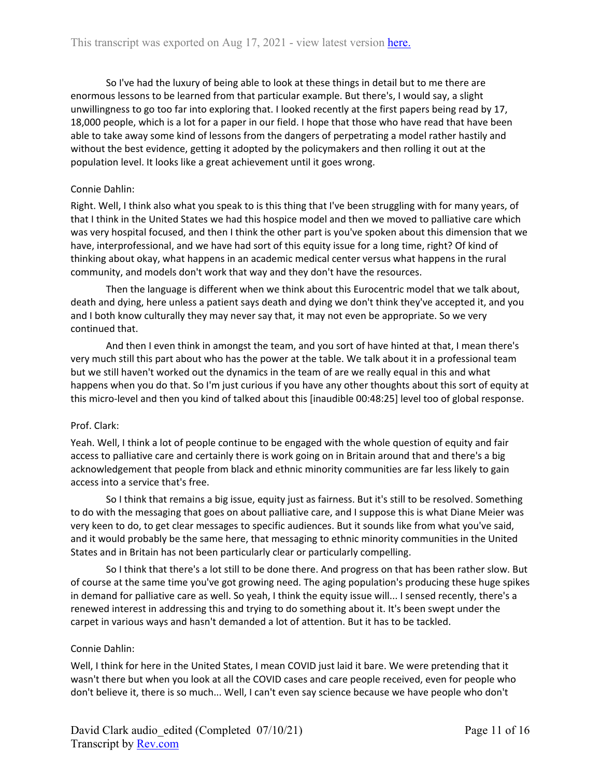So I've had the luxury of being able to look at these things in detail but to me there are enormous lessons to be learned from that particular example. But there's, I would say, a slight unwillingness to go too far into exploring that. I looked recently at the first papers being read by 17, 18,000 people, which is a lot for a paper in our field. I hope that those who have read that have been able to take away some kind of lessons from the dangers of perpetrating a model rather hastily and without the best evidence, getting it adopted by the policymakers and then rolling it out at the population level. It looks like a great achievement until it goes wrong.

### Connie Dahlin:

Right. Well, I think also what you speak to is this thing that I've been struggling with for many years, of that I think in the United States we had this hospice model and then we moved to palliative care which was very hospital focused, and then I think the other part is you've spoken about this dimension that we have, interprofessional, and we have had sort of this equity issue for a long time, right? Of kind of thinking about okay, what happens in an academic medical center versus what happens in the rural community, and models don't work that way and they don't have the resources.

Then the language is different when we think about this Eurocentric model that we talk about, death and dying, here unless a patient says death and dying we don't think they've accepted it, and you and I both know culturally they may never say that, it may not even be appropriate. So we very continued that.

And then I even think in amongst the team, and you sort of have hinted at that, I mean there's very much still this part about who has the power at the table. We talk about it in a professional team but we still haven't worked out the dynamics in the team of are we really equal in this and what happens when you do that. So I'm just curious if you have any other thoughts about this sort of equity at this micro-level and then you kind of talked about this [inaudible 00:48:25] level too of global response.

### Prof. Clark:

Yeah. Well, I think a lot of people continue to be engaged with the whole question of equity and fair access to palliative care and certainly there is work going on in Britain around that and there's a big acknowledgement that people from black and ethnic minority communities are far less likely to gain access into a service that's free.

So I think that remains a big issue, equity just as fairness. But it's still to be resolved. Something to do with the messaging that goes on about palliative care, and I suppose this is what Diane Meier was very keen to do, to get clear messages to specific audiences. But it sounds like from what you've said, and it would probably be the same here, that messaging to ethnic minority communities in the United States and in Britain has not been particularly clear or particularly compelling.

So I think that there's a lot still to be done there. And progress on that has been rather slow. But of course at the same time you've got growing need. The aging population's producing these huge spikes in demand for palliative care as well. So yeah, I think the equity issue will... I sensed recently, there's a renewed interest in addressing this and trying to do something about it. It's been swept under the carpet in various ways and hasn't demanded a lot of attention. But it has to be tackled.

### Connie Dahlin:

Well, I think for here in the United States, I mean COVID just laid it bare. We were pretending that it wasn't there but when you look at all the COVID cases and care people received, even for people who don't believe it, there is so much... Well, I can't even say science because we have people who don't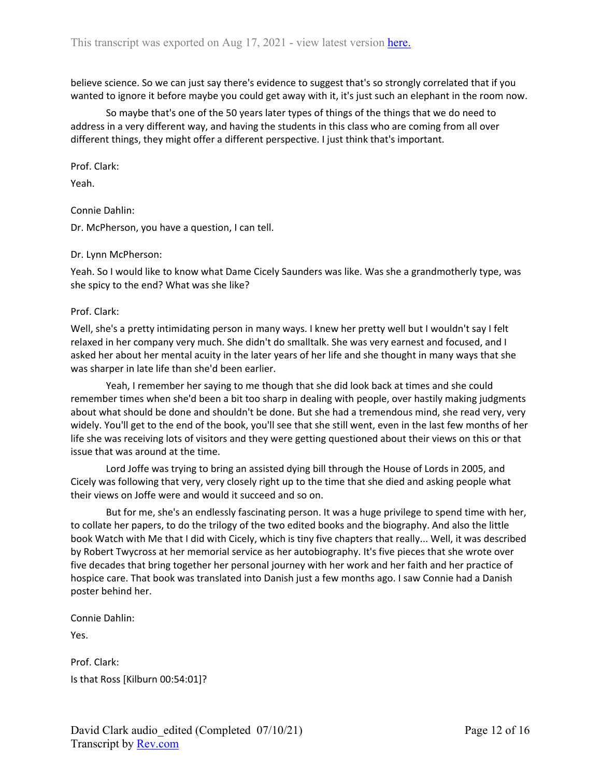believe science. So we can just say there's evidence to suggest that's so strongly correlated that if you wanted to ignore it before maybe you could get away with it, it's just such an elephant in the room now.

So maybe that's one of the 50 years later types of things of the things that we do need to address in a very different way, and having the students in this class who are coming from all over different things, they might offer a different perspective. I just think that's important.

Prof. Clark:

Yeah.

Connie Dahlin:

Dr. McPherson, you have a question, I can tell.

#### Dr. Lynn McPherson:

Yeah. So I would like to know what Dame Cicely Saunders was like. Was she a grandmotherly type, was she spicy to the end? What was she like?

#### Prof. Clark:

Well, she's a pretty intimidating person in many ways. I knew her pretty well but I wouldn't say I felt relaxed in her company very much. She didn't do smalltalk. She was very earnest and focused, and I asked her about her mental acuity in the later years of her life and she thought in many ways that she was sharper in late life than she'd been earlier.

Yeah, I remember her saying to me though that she did look back at times and she could remember times when she'd been a bit too sharp in dealing with people, over hastily making judgments about what should be done and shouldn't be done. But she had a tremendous mind, she read very, very widely. You'll get to the end of the book, you'll see that she still went, even in the last few months of her life she was receiving lots of visitors and they were getting questioned about their views on this or that issue that was around at the time.

Lord Joffe was trying to bring an assisted dying bill through the House of Lords in 2005, and Cicely was following that very, very closely right up to the time that she died and asking people what their views on Joffe were and would it succeed and so on.

But for me, she's an endlessly fascinating person. It was a huge privilege to spend time with her, to collate her papers, to do the trilogy of the two edited books and the biography. And also the little book Watch with Me that I did with Cicely, which is tiny five chapters that really... Well, it was described by Robert Twycross at her memorial service as her autobiography. It's five pieces that she wrote over five decades that bring together her personal journey with her work and her faith and her practice of hospice care. That book was translated into Danish just a few months ago. I saw Connie had a Danish poster behind her.

Connie Dahlin:

Yes.

Prof. Clark: Is that Ross [Kilburn 00:54:01]?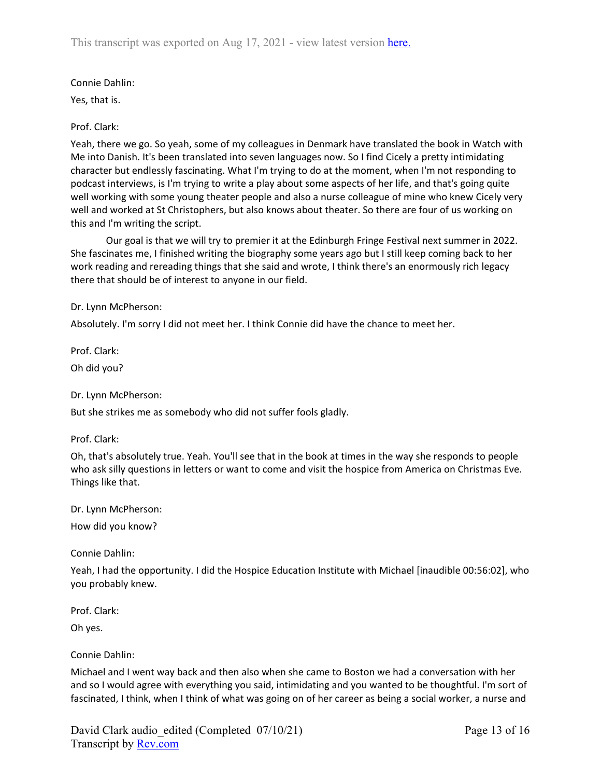# Connie Dahlin:

Yes, that is.

# Prof. Clark:

Yeah, there we go. So yeah, some of my colleagues in Denmark have translated the book in Watch with Me into Danish. It's been translated into seven languages now. So I find Cicely a pretty intimidating character but endlessly fascinating. What I'm trying to do at the moment, when I'm not responding to podcast interviews, is I'm trying to write a play about some aspects of her life, and that's going quite well working with some young theater people and also a nurse colleague of mine who knew Cicely very well and worked at St Christophers, but also knows about theater. So there are four of us working on this and I'm writing the script.

Our goal is that we will try to premier it at the Edinburgh Fringe Festival next summer in 2022. She fascinates me, I finished writing the biography some years ago but I still keep coming back to her work reading and rereading things that she said and wrote, I think there's an enormously rich legacy there that should be of interest to anyone in our field.

# Dr. Lynn McPherson:

Absolutely. I'm sorry I did not meet her. I think Connie did have the chance to meet her.

Prof. Clark: Oh did you?

Dr. Lynn McPherson:

But she strikes me as somebody who did not suffer fools gladly.

# Prof. Clark:

Oh, that's absolutely true. Yeah. You'll see that in the book at times in the way she responds to people who ask silly questions in letters or want to come and visit the hospice from America on Christmas Eve. Things like that.

Dr. Lynn McPherson:

How did you know?

Connie Dahlin:

Yeah, I had the opportunity. I did the Hospice Education Institute with Michael [inaudible 00:56:02], who you probably knew.

Prof. Clark:

Oh yes.

# Connie Dahlin:

Michael and I went way back and then also when she came to Boston we had a conversation with her and so I would agree with everything you said, intimidating and you wanted to be thoughtful. I'm sort of fascinated, I think, when I think of what was going on of her career as being a social worker, a nurse and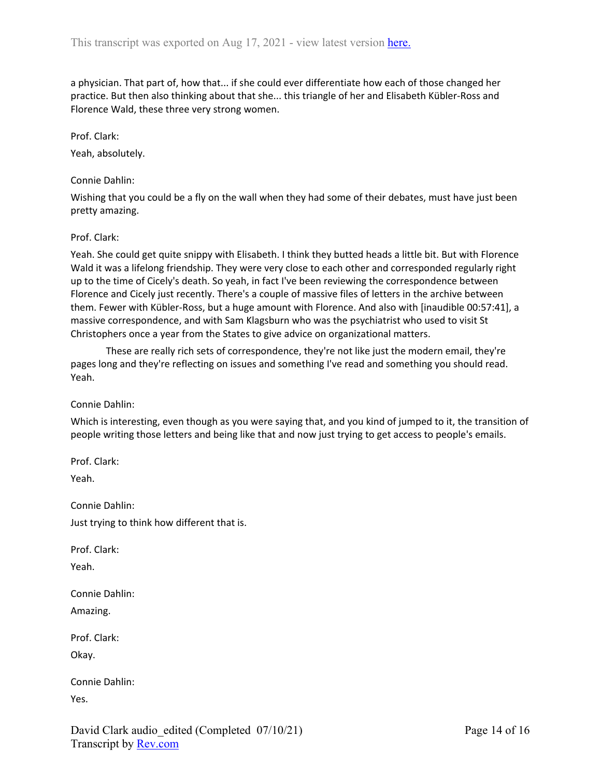a physician. That part of, how that... if she could ever differentiate how each of those changed her practice. But then also thinking about that she... this triangle of her and Elisabeth Kübler-Ross and Florence Wald, these three very strong women.

Prof. Clark:

Yeah, absolutely.

Connie Dahlin:

Wishing that you could be a fly on the wall when they had some of their debates, must have just been pretty amazing.

### Prof. Clark:

Yeah. She could get quite snippy with Elisabeth. I think they butted heads a little bit. But with Florence Wald it was a lifelong friendship. They were very close to each other and corresponded regularly right up to the time of Cicely's death. So yeah, in fact I've been reviewing the correspondence between Florence and Cicely just recently. There's a couple of massive files of letters in the archive between them. Fewer with Kübler-Ross, but a huge amount with Florence. And also with [inaudible 00:57:41], a massive correspondence, and with Sam Klagsburn who was the psychiatrist who used to visit St Christophers once a year from the States to give advice on organizational matters.

These are really rich sets of correspondence, they're not like just the modern email, they're pages long and they're reflecting on issues and something I've read and something you should read. Yeah.

Connie Dahlin:

Which is interesting, even though as you were saying that, and you kind of jumped to it, the transition of people writing those letters and being like that and now just trying to get access to people's emails.

Prof. Clark:

Yeah.

Connie Dahlin: Just trying to think how different that is.

Prof. Clark:

Yeah.

Connie Dahlin: Amazing.

Prof. Clark:

Okay.

| Connie Dahlin: |  |
|----------------|--|
| Yes.           |  |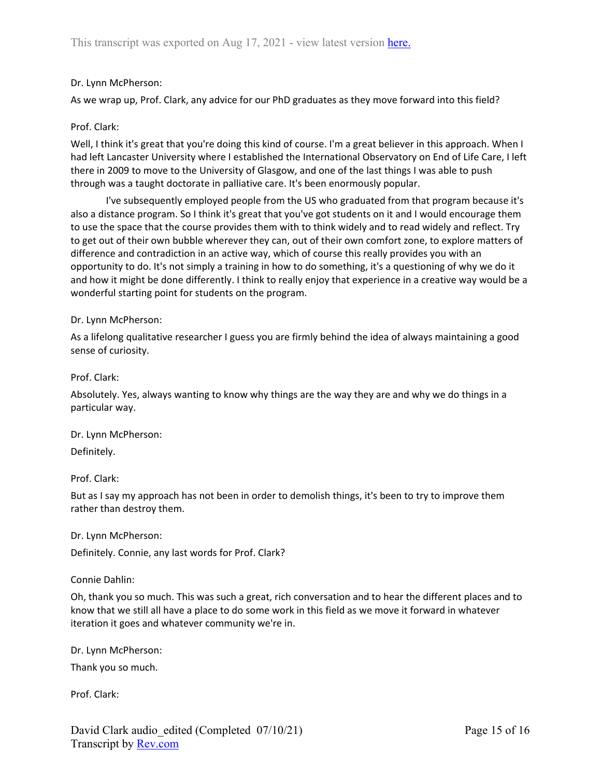# Dr. Lynn McPherson:

As we wrap up, Prof. Clark, any advice for our PhD graduates as they move forward into this field?

# Prof. Clark:

Well, I think it's great that you're doing this kind of course. I'm a great believer in this approach. When I had left Lancaster University where I established the International Observatory on End of Life Care, I left there in 2009 to move to the University of Glasgow, and one of the last things I was able to push through was a taught doctorate in palliative care. It's been enormously popular.

I've subsequently employed people from the US who graduated from that program because it's also a distance program. So I think it's great that you've got students on it and I would encourage them to use the space that the course provides them with to think widely and to read widely and reflect. Try to get out of their own bubble wherever they can, out of their own comfort zone, to explore matters of difference and contradiction in an active way, which of course this really provides you with an opportunity to do. It's not simply a training in how to do something, it's a questioning of why we do it and how it might be done differently. I think to really enjoy that experience in a creative way would be a wonderful starting point for students on the program.

### Dr. Lynn McPherson:

As a lifelong qualitative researcher I guess you are firmly behind the idea of always maintaining a good sense of curiosity.

Prof. Clark:

Absolutely. Yes, always wanting to know why things are the way they are and why we do things in a particular way.

Dr. Lynn McPherson: Definitely.

Prof. Clark:

But as I say my approach has not been in order to demolish things, it's been to try to improve them rather than destroy them.

Dr. Lynn McPherson:

Definitely. Connie, any last words for Prof. Clark?

Connie Dahlin:

Oh, thank you so much. This was such a great, rich conversation and to hear the different places and to know that we still all have a place to do some work in this field as we move it forward in whatever iteration it goes and whatever community we're in.

Dr. Lynn McPherson:

Thank you so much.

Prof. Clark: